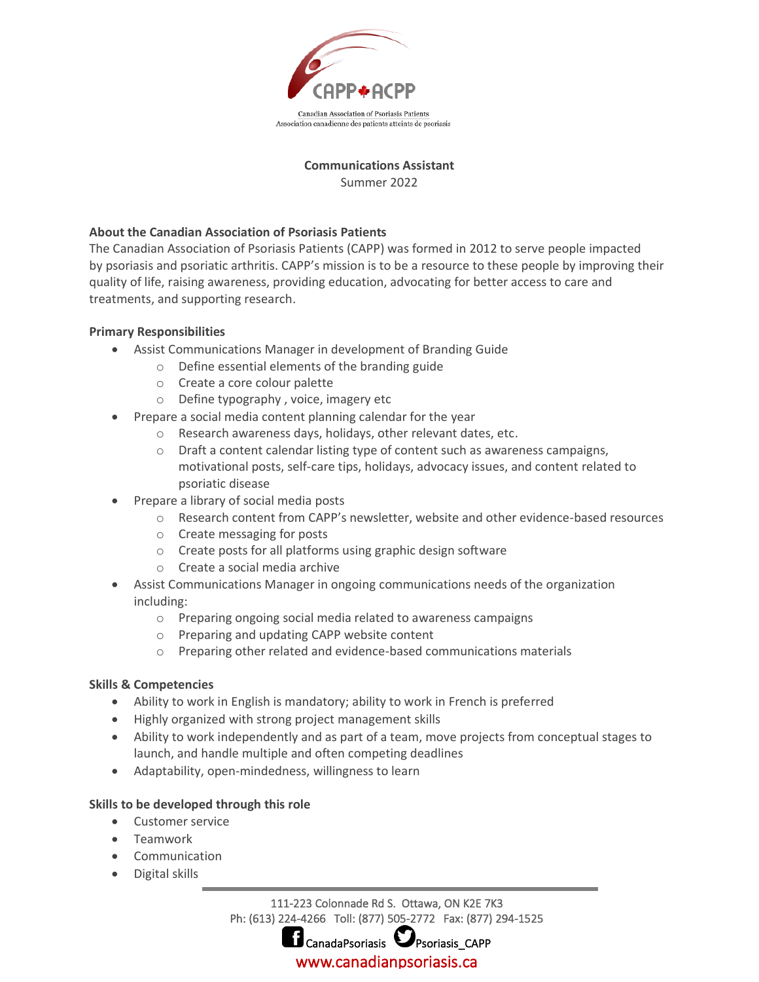

# **Communications Assistant**

Summer 2022

# **About the Canadian Association of Psoriasis Patients**

The Canadian Association of Psoriasis Patients (CAPP) was formed in 2012 to serve people impacted by psoriasis and psoriatic arthritis. CAPP's mission is to be a resource to these people by improving their quality of life, raising awareness, providing education, advocating for better access to care and treatments, and supporting research.

## **Primary Responsibilities**

- Assist Communications Manager in development of Branding Guide
	- o Define essential elements of the branding guide
	- o Create a core colour palette
	- o Define typography , voice, imagery etc
- Prepare a social media content planning calendar for the year
	- o Research awareness days, holidays, other relevant dates, etc.
	- o Draft a content calendar listing type of content such as awareness campaigns, motivational posts, self-care tips, holidays, advocacy issues, and content related to psoriatic disease
- Prepare a library of social media posts
	- o Research content from CAPP's newsletter, website and other evidence-based resources
	- o Create messaging for posts
	- o Create posts for all platforms using graphic design software
	- o Create a social media archive
- Assist Communications Manager in ongoing communications needs of the organization including:
	- o Preparing ongoing social media related to awareness campaigns
	- o Preparing and updating CAPP website content
	- o Preparing other related and evidence-based communications materials

## **Skills & Competencies**

- Ability to work in English is mandatory; ability to work in French is preferred
- Highly organized with strong project management skills
- Ability to work independently and as part of a team, move projects from conceptual stages to launch, and handle multiple and often competing deadlines
- Adaptability, open-mindedness, willingness to learn

## **Skills to be developed through this role**

- Customer service
- Teamwork
- Communication
- Digital skills

111-223 Colonnade Rd S. Ottawa, ON K2E 7K3 Ph: (613) 224-4266 Toll: (877) 505-2772 Fax: (877) 294-1525

 $\Gamma$  CanadaPsoriasis  $\Omega$ <sub>Psoriasis</sub> CAPP

www.canadianpsoriasis.ca